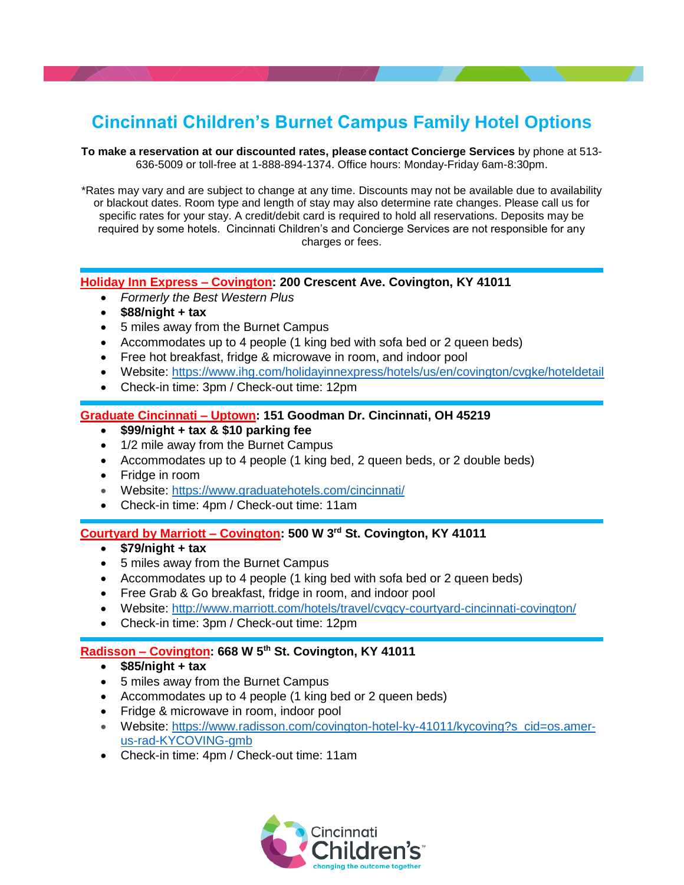# **Cincinnati Children's Burnet Campus Family Hotel Options**

**To make a reservation at our discounted rates, please contact Concierge Services** by phone at 513- 636-5009 or toll-free at 1-888-894-1374. Office hours: Monday-Friday 6am-8:30pm.

\*Rates may vary and are subject to change at any time. Discounts may not be available due to availability or blackout dates. Room type and length of stay may also determine rate changes. Please call us for specific rates for your stay. A credit/debit card is required to hold all reservations. Deposits may be required by some hotels. Cincinnati Children's and Concierge Services are not responsible for any charges or fees.

### **Holiday Inn Express – Covington: 200 Crescent Ave. Covington, KY 41011**

- *Formerly the Best Western Plus*
- **\$88/night + tax**
- 5 miles away from the Burnet Campus
- Accommodates up to 4 people (1 king bed with sofa bed or 2 queen beds)
- Free hot breakfast, fridge & microwave in room, and indoor pool
- Website:<https://www.ihg.com/holidayinnexpress/hotels/us/en/covington/cvgke/hoteldetail>
- Check-in time: 3pm / Check-out time: 12pm

#### **Graduate Cincinnati – Uptown: 151 Goodman Dr. Cincinnati, OH 45219**

- **\$99/night + tax & \$10 parking fee**
- 1/2 mile away from the Burnet Campus
- Accommodates up to 4 people (1 king bed, 2 queen beds, or 2 double beds)
- Fridge in room
- Website:<https://www.graduatehotels.com/cincinnati/>
- Check-in time: 4pm / Check-out time: 11am

#### **Courtyard by Marriott – Covington: 500 W 3rd St. Covington, KY 41011**

- **\$79/night + tax**
- 5 miles away from the Burnet Campus
- Accommodates up to 4 people (1 king bed with sofa bed or 2 queen beds)
- Free Grab & Go breakfast, fridge in room, and indoor pool
- Website: http://www.marriott.com/hotels/travel/cvgcy-courtyard-cincinnati-covington/
- Check-in time: 3pm / Check-out time: 12pm

#### **Radisson – Covington: 668 W 5th St. Covington, KY 41011**

- **\$85/night + tax**
- 5 miles away from the Burnet Campus
- Accommodates up to 4 people (1 king bed or 2 queen beds)
- Fridge & microwave in room, indoor pool
- Website: [https://www.radisson.com/covington-hotel-ky-41011/kycoving?s\\_cid=os.amer](https://www.radisson.com/covington-hotel-ky-41011/kycoving?s_cid=os.amer-us-rad-KYCOVING-gmb)[us-rad-KYCOVING-gmb](https://www.radisson.com/covington-hotel-ky-41011/kycoving?s_cid=os.amer-us-rad-KYCOVING-gmb)
- Check-in time: 4pm / Check-out time: 11am

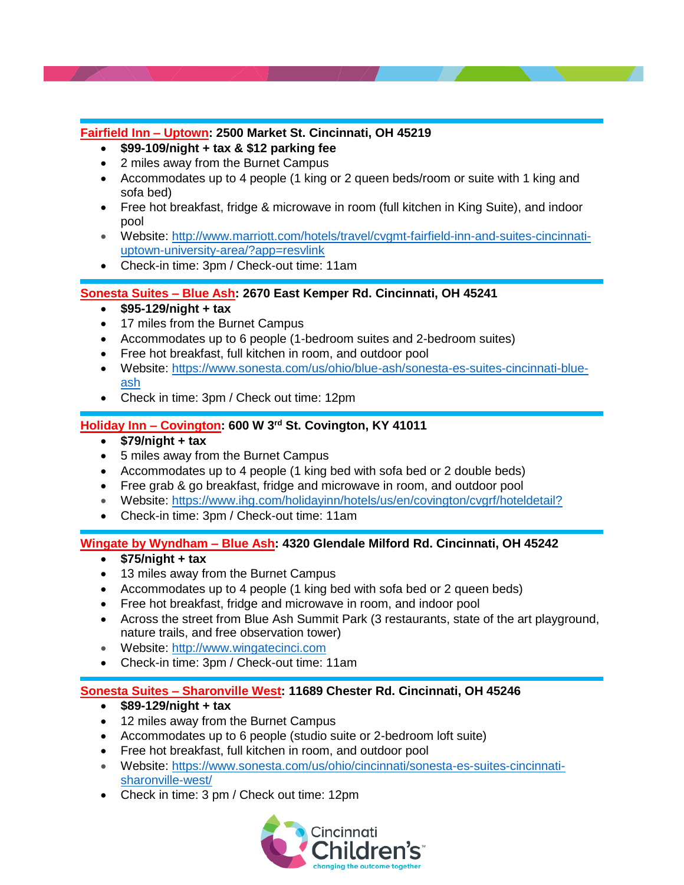## **Fairfield Inn – Uptown: 2500 Market St. Cincinnati, OH 45219**

- **\$99-109/night + tax & \$12 parking fee**
- 2 miles away from the Burnet Campus
- Accommodates up to 4 people (1 king or 2 queen beds/room or suite with 1 king and sofa bed)
- Free hot breakfast, fridge & microwave in room (full kitchen in King Suite), and indoor pool
- Website: [http://www.marriott.com/hotels/travel/cvgmt-fairfield-inn-and-suites-cincinnati](http://www.marriott.com/hotels/travel/cvgmt-fairfield-inn-and-suites-cincinnati-uptown-university-area/?app=resvlink)[uptown-university-area/?app=resvlink](http://www.marriott.com/hotels/travel/cvgmt-fairfield-inn-and-suites-cincinnati-uptown-university-area/?app=resvlink)
- Check-in time: 3pm / Check-out time: 11am

## **Sonesta Suites – Blue Ash: 2670 East Kemper Rd. Cincinnati, OH 45241**

- **\$95-129/night + tax**
- 17 miles from the Burnet Campus
- Accommodates up to 6 people (1-bedroom suites and 2-bedroom suites)
- Free hot breakfast, full kitchen in room, and outdoor pool
- Website: [https://www.sonesta.com/us/ohio/blue-ash/sonesta-es-suites-cincinnati-blue](https://www.sonesta.com/us/ohio/blue-ash/sonesta-es-suites-cincinnati-blue-ash)[ash](https://www.sonesta.com/us/ohio/blue-ash/sonesta-es-suites-cincinnati-blue-ash)
- Check in time: 3pm / Check out time: 12pm

## **Holiday Inn – Covington: 600 W 3rd St. Covington, KY 41011**

- **\$79/night + tax**
- 5 miles away from the Burnet Campus
- Accommodates up to 4 people (1 king bed with sofa bed or 2 double beds)
- Free grab & go breakfast, fridge and microwave in room, and outdoor pool
- Website:<https://www.ihg.com/holidayinn/hotels/us/en/covington/cvgrf/hoteldetail?>
- Check-in time: 3pm / Check-out time: 11am

### **Wingate by Wyndham – Blue Ash: 4320 Glendale Milford Rd. Cincinnati, OH 45242**

- **\$75/night + tax**
- 13 miles away from the Burnet Campus
- Accommodates up to 4 people (1 king bed with sofa bed or 2 queen beds)
- Free hot breakfast, fridge and microwave in room, and indoor pool
- Across the street from Blue Ash Summit Park (3 restaurants, state of the art playground, nature trails, and free observation tower)
- Website: [http://www.wingatecinci.com](http://www.wingatecinci.com/)
- Check-in time: 3pm / Check-out time: 11am

### **Sonesta Suites – Sharonville West: 11689 Chester Rd. Cincinnati, OH 45246**

- **\$89-129/night + tax**
- 12 miles away from the Burnet Campus
- Accommodates up to 6 people (studio suite or 2-bedroom loft suite)
- Free hot breakfast, full kitchen in room, and outdoor pool
- Website: [https://www.sonesta.com/us/ohio/cincinnati/sonesta-es-suites-cincinnati](https://www.sonesta.com/us/ohio/cincinnati/sonesta-es-suites-cincinnati-sharonville-west/)[sharonville-west/](https://www.sonesta.com/us/ohio/cincinnati/sonesta-es-suites-cincinnati-sharonville-west/)
- Check in time: 3 pm / Check out time: 12pm

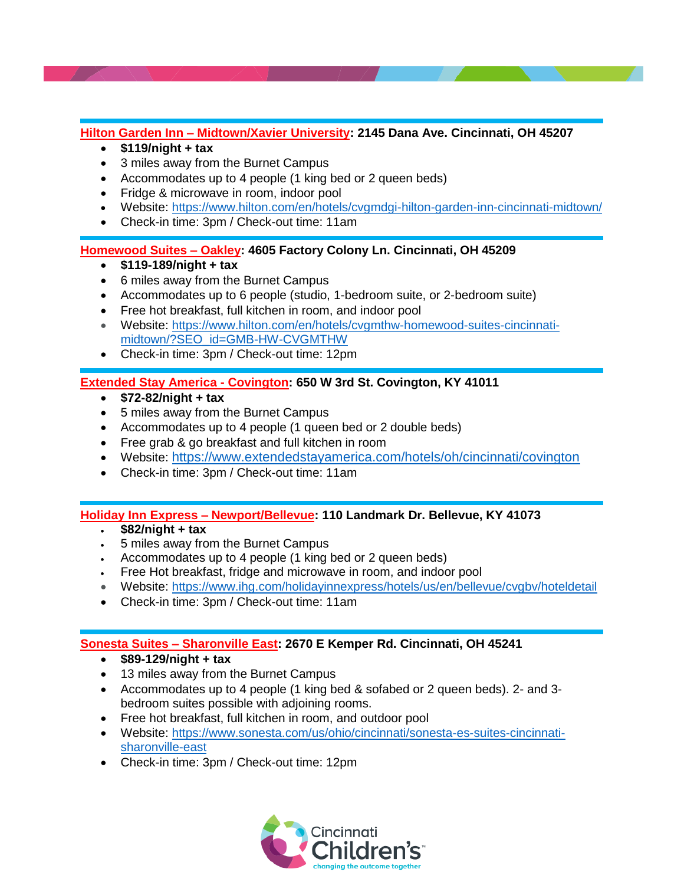**Hilton Garden Inn – Midtown/Xavier University: 2145 Dana Ave. Cincinnati, OH 45207**

- **\$119/night + tax**
- 3 miles away from the Burnet Campus
- Accommodates up to 4 people (1 king bed or 2 queen beds)
- Fridge & microwave in room, indoor pool
- Website:<https://www.hilton.com/en/hotels/cvgmdgi-hilton-garden-inn-cincinnati-midtown/>
- Check-in time: 3pm / Check-out time: 11am

### **Homewood Suites – Oakley: 4605 Factory Colony Ln. Cincinnati, OH 45209**

- **\$119-189/night + tax**
- 6 miles away from the Burnet Campus
- Accommodates up to 6 people (studio, 1-bedroom suite, or 2-bedroom suite)
- Free hot breakfast, full kitchen in room, and indoor pool
- Website: [https://www.hilton.com/en/hotels/cvgmthw-homewood-suites-cincinnati](https://www.hilton.com/en/hotels/cvgmthw-homewood-suites-cincinnati-midtown/?SEO_id=GMB-HW-CVGMTHW)[midtown/?SEO\\_id=GMB-HW-CVGMTHW](https://www.hilton.com/en/hotels/cvgmthw-homewood-suites-cincinnati-midtown/?SEO_id=GMB-HW-CVGMTHW)
- Check-in time: 3pm / Check-out time: 12pm

## **Extended Stay America - Covington: 650 W 3rd St. Covington, KY 41011**

- **\$72-82/night + tax**
- 5 miles away from the Burnet Campus
- Accommodates up to 4 people (1 queen bed or 2 double beds)
- Free grab & go breakfast and full kitchen in room
- Website: <https://www.extendedstayamerica.com/hotels/oh/cincinnati/covington>
- Check-in time: 3pm / Check-out time: 11am

# **Holiday Inn Express – Newport/Bellevue: 110 Landmark Dr. Bellevue, KY 41073**

- **\$82/night + tax**
- 5 miles away from the Burnet Campus
- Accommodates up to 4 people (1 king bed or 2 queen beds)
- Free Hot breakfast, fridge and microwave in room, and indoor pool
- Website: <https://www.ihg.com/holidayinnexpress/hotels/us/en/bellevue/cvgbv/hoteldetail>
- Check-in time: 3pm / Check-out time: 11am

# **Sonesta Suites – Sharonville East: 2670 E Kemper Rd. Cincinnati, OH 45241**

- **\$89-129/night + tax**
- 13 miles away from the Burnet Campus
- Accommodates up to 4 people (1 king bed & sofabed or 2 queen beds). 2- and 3 bedroom suites possible with adjoining rooms.
- Free hot breakfast, full kitchen in room, and outdoor pool
- Website: [https://www.sonesta.com/us/ohio/cincinnati/sonesta-es-suites-cincinnati](https://www.sonesta.com/us/ohio/cincinnati/sonesta-es-suites-cincinnati-sharonville-east)[sharonville-east](https://www.sonesta.com/us/ohio/cincinnati/sonesta-es-suites-cincinnati-sharonville-east)
- Check-in time: 3pm / Check-out time: 12pm